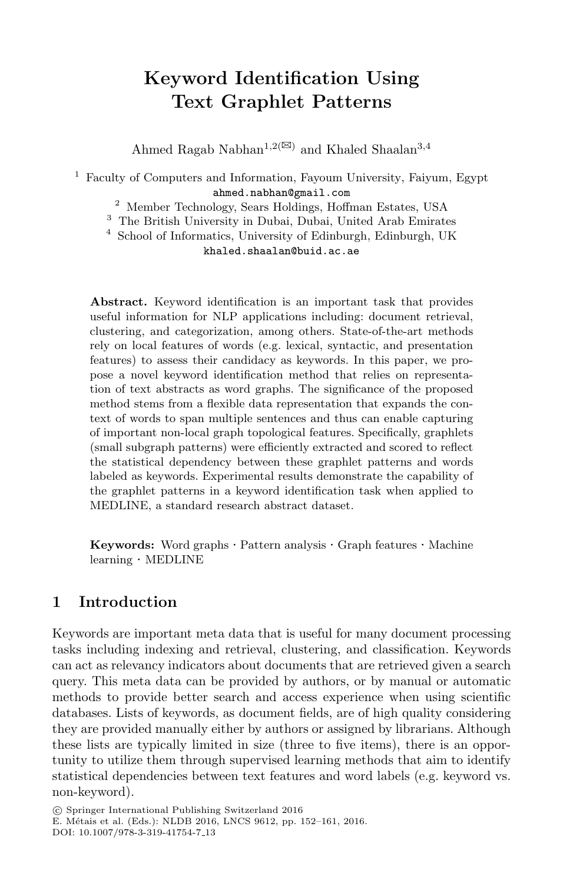# **Keyword Identification Using Text Graphlet Patterns**

Ahmed Ragab Nabhan<sup>1,2( $\boxtimes$ )</sup> and Khaled Shaalan<sup>3,4</sup>

<sup>1</sup> Faculty of Computers and Information, Fayoum University, Faiyum, Egypt ahmed.nabhan@gmail.com

<sup>2</sup> Member Technology, Sears Holdings, Hoffman Estates, USA

<sup>3</sup> The British University in Dubai, Dubai, United Arab Emirates

<sup>4</sup> School of Informatics, University of Edinburgh, Edinburgh, UK

#### khaled.shaalan@buid.ac.ae

**Abstract.** Keyword identification is an important task that provides useful information for NLP applications including: document retrieval, clustering, and categorization, among others. State-of-the-art methods rely on local features of words (e.g. lexical, syntactic, and presentation features) to assess their candidacy as keywords. In this paper, we propose a novel keyword identification method that relies on representation of text abstracts as word graphs. The significance of the proposed method stems from a flexible data representation that expands the context of words to span multiple sentences and thus can enable capturing of important non-local graph topological features. Specifically, graphlets (small subgraph patterns) were efficiently extracted and scored to reflect the statistical dependency between these graphlet patterns and words labeled as keywords. Experimental results demonstrate the capability of the graphlet patterns in a keyword identification task when applied to MEDLINE, a standard research abstract dataset.

**Keywords:** Word graphs · Pattern analysis · Graph features · Machine learning · MEDLINE

# **1 Introduction**

Keywords are important meta data that is useful for many document processing tasks including indexing and retrieval, clustering, and classification. Keywords can act as relevancy indicators about documents that are retrieved given a search query. This meta data can be provided by authors, or by manual or automatic methods to provide better search and access experience when using scientific databases. Lists of keywords, as document fields, are of high quality considering they are provided manually either by authors or assigned by librarians. Although these lists are typically limited in size (three to five items), there is an opportunity to utilize them through supervised learning methods that aim to identify statistical dependencies between text features and word labels (e.g. keyword vs. non-keyword).

<sup>-</sup>c Springer International Publishing Switzerland 2016

E. Métais et al. (Eds.): NLDB 2016, LNCS 9612, pp. 152-161, 2016.

DOI: 10.1007/978-3-319-41754-7 13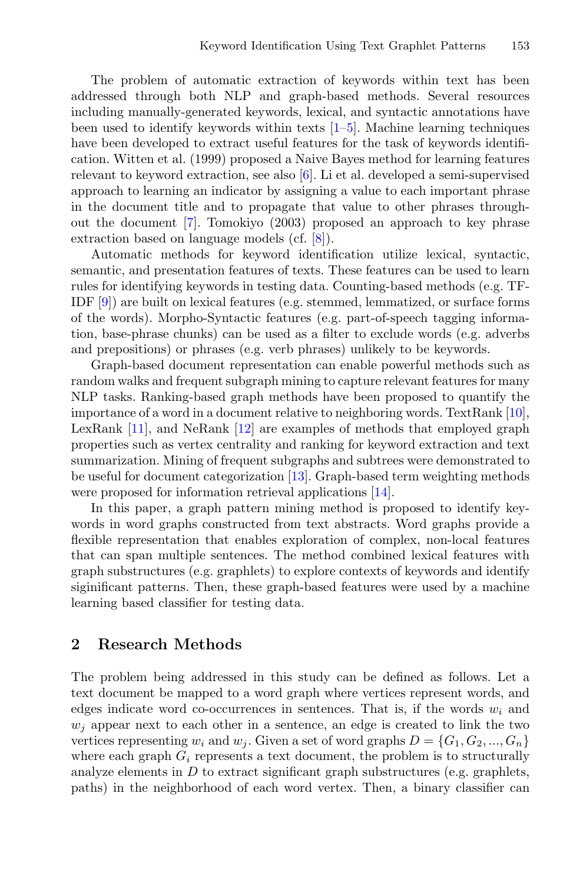The problem of automatic extraction of keywords within text has been addressed through both NLP and graph-based methods. Several resources including manually-generated keywords, lexical, and syntactic annotations have been used to identify keywords within texts  $[1–5]$ . Machine learning techniques have been developed to extract useful features for the task of keywords identification. Witten et al. (1999) proposed a Naive Bayes method for learning features relevant to keyword extraction, see also [6]. Li et al. developed a semi-supervised approach to learning an indicator by assigning a value to each important phrase in the document title and to propagate that value to other phrases throughout the document [7]. Tomokiyo (2003) proposed an approach to key phrase extraction based on language models (cf. [8]).

Automatic methods for keyword identification utilize lexical, syntactic, semantic, and presentation features of texts. These features can be used to learn rules for identifying keywords in testing data. Counting-based methods (e.g. TF-IDF [9]) are built on lexical features (e.g. stemmed, lemmatized, or surface forms of the words). Morpho-Syntactic features (e.g. part-of-speech tagging information, base-phrase chunks) can be used as a filter to exclude words (e.g. adverbs and prepositions) or phrases (e.g. verb phrases) unlikely to be keywords.

Graph-based document representation can enable powerful methods such as random walks and frequent subgraph mining to capture relevant features for many NLP tasks. Ranking-based graph methods have been proposed to quantify the importance of a word in a document relative to neighboring words. TextRank [10], LexRank [11], and NeRank [12] are examples of methods that employed graph properties such as vertex centrality and ranking for keyword extraction and text summarization. Mining of frequent subgraphs and subtrees were demonstrated to be useful for document categorization [13]. Graph-based term weighting methods were proposed for information retrieval applications [14].

In this paper, a graph pattern mining method is proposed to identify keywords in word graphs constructed from text abstracts. Word graphs provide a flexible representation that enables exploration of complex, non-local features that can span multiple sentences. The method combined lexical features with graph substructures (e.g. graphlets) to explore contexts of keywords and identify siginificant patterns. Then, these graph-based features were used by a machine learning based classifier for testing data.

## **2 Research Methods**

The problem being addressed in this study can be defined as follows. Let a text document be mapped to a word graph where vertices represent words, and edges indicate word co-occurrences in sentences. That is, if the words  $w_i$  and  $w_j$  appear next to each other in a sentence, an edge is created to link the two vertices representing  $w_i$  and  $w_j$ . Given a set of word graphs  $D = \{G_1, G_2, ..., G_n\}$ where each graph  $G_i$  represents a text document, the problem is to structurally analyze elements in  $D$  to extract significant graph substructures (e.g. graphlets, paths) in the neighborhood of each word vertex. Then, a binary classifier can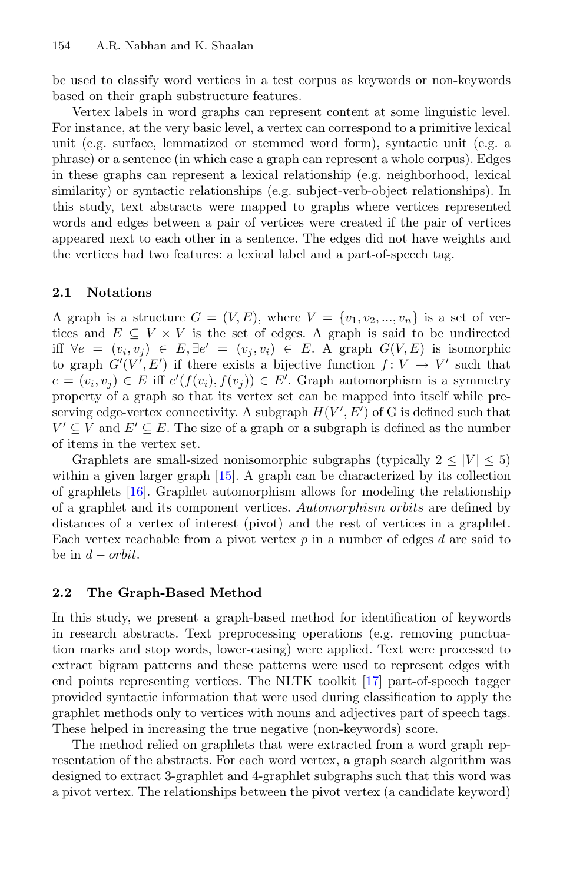be used to classify word vertices in a test corpus as keywords or non-keywords based on their graph substructure features.

Vertex labels in word graphs can represent content at some linguistic level. For instance, at the very basic level, a vertex can correspond to a primitive lexical unit (e.g. surface, lemmatized or stemmed word form), syntactic unit (e.g. a phrase) or a sentence (in which case a graph can represent a whole corpus). Edges in these graphs can represent a lexical relationship (e.g. neighborhood, lexical similarity) or syntactic relationships (e.g. subject-verb-object relationships). In this study, text abstracts were mapped to graphs where vertices represented words and edges between a pair of vertices were created if the pair of vertices appeared next to each other in a sentence. The edges did not have weights and the vertices had two features: a lexical label and a part-of-speech tag.

#### **2.1 Notations**

A graph is a structure  $G = (V, E)$ , where  $V = \{v_1, v_2, ..., v_n\}$  is a set of vertices and  $E \subseteq V \times V$  is the set of edges. A graph is said to be undirected iff  $\forall e = (v_i, v_j) \in E, \exists e' = (v_j, v_i) \in E$ . A graph  $G(V, E)$  is isomorphic to graph  $G'(V', E')$  if there exists a bijective function  $f: V \to V'$  such that  $e = (v_i, v_j) \in E$  iff  $e'(f(v_i), f(v_j)) \in E'$ . Graph automorphism is a symmetry property of a graph so that its vertex set can be mapped into itself while preserving edge-vertex connectivity. A subgraph  $H(V', E')$  of G is defined such that  $V' \subseteq V$  and  $E' \subseteq E$ . The size of a graph or a subgraph is defined as the number of items in the vertex set.

Graphlets are small-sized nonisomorphic subgraphs (typically  $2 \leq |V| \leq 5$ ) within a given larger graph [15]. A graph can be characterized by its collection of graphlets [16]. Graphlet automorphism allows for modeling the relationship of a graphlet and its component vertices. Automorphism orbits are defined by distances of a vertex of interest (pivot) and the rest of vertices in a graphlet. Each vertex reachable from a pivot vertex  $p$  in a number of edges  $d$  are said to be in  $d$  – orbit.

#### **2.2 The Graph-Based Method**

In this study, we present a graph-based method for identification of keywords in research abstracts. Text preprocessing operations (e.g. removing punctuation marks and stop words, lower-casing) were applied. Text were processed to extract bigram patterns and these patterns were used to represent edges with end points representing vertices. The NLTK toolkit [17] part-of-speech tagger provided syntactic information that were used during classification to apply the graphlet methods only to vertices with nouns and adjectives part of speech tags. These helped in increasing the true negative (non-keywords) score.

The method relied on graphlets that were extracted from a word graph representation of the abstracts. For each word vertex, a graph search algorithm was designed to extract 3-graphlet and 4-graphlet subgraphs such that this word was a pivot vertex. The relationships between the pivot vertex (a candidate keyword)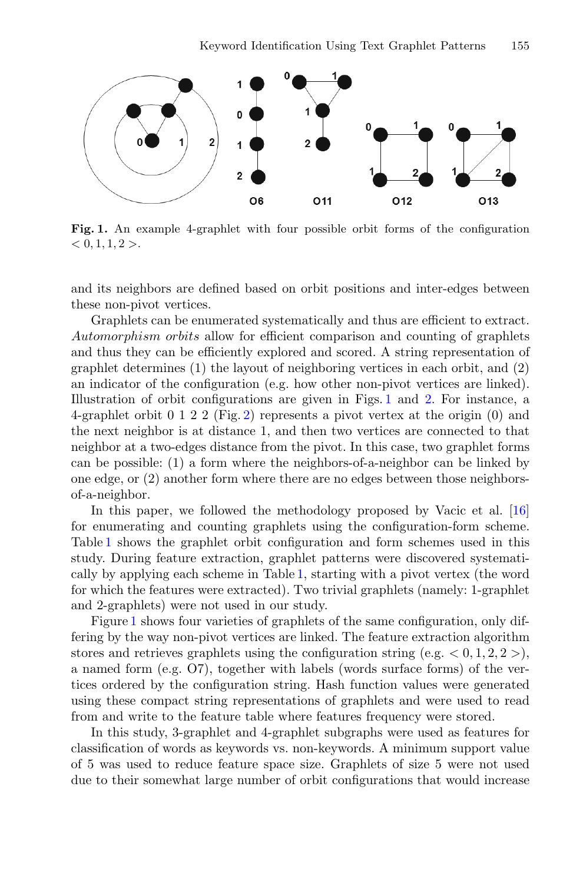

Fig. 1. An example 4-graphlet with four possible orbit forms of the configuration  $< 0, 1, 1, 2 >$ .

and its neighbors are defined based on orbit positions and inter-edges between these non-pivot vertices.

Graphlets can be enumerated systematically and thus are efficient to extract. Automorphism orbits allow for efficient comparison and counting of graphlets and thus they can be efficiently explored and scored. A string representation of graphlet determines (1) the layout of neighboring vertices in each orbit, and (2) an indicator of the configuration (e.g. how other non-pivot vertices are linked). Illustration of orbit configurations are given in Figs. 1 and 2. For instance, a 4-graphlet orbit  $0 \le 1 \le 2$  (Fig. 2) represents a pivot vertex at the origin  $(0)$  and the next neighbor is at distance 1, and then two vertices are connected to that neighbor at a two-edges distance from the pivot. In this case, two graphlet forms can be possible: (1) a form where the neighbors-of-a-neighbor can be linked by one edge, or (2) another form where there are no edges between those neighborsof-a-neighbor.

In this paper, we followed the methodology proposed by Vacic et al. [16] for enumerating and counting graphlets using the configuration-form scheme. Table 1 shows the graphlet orbit configuration and form schemes used in this study. During feature extraction, graphlet patterns were discovered systematically by applying each scheme in Table 1, starting with a pivot vertex (the word for which the features were extracted). Two trivial graphlets (namely: 1-graphlet and 2-graphlets) were not used in our study.

Figure 1 shows four varieties of graphlets of the same configuration, only differing by the way non-pivot vertices are linked. The feature extraction algorithm stores and retrieves graphlets using the configuration string (e.g.  $\lt 0, 1, 2, 2, \gt)$ ), a named form (e.g. O7), together with labels (words surface forms) of the vertices ordered by the configuration string. Hash function values were generated using these compact string representations of graphlets and were used to read from and write to the feature table where features frequency were stored.

In this study, 3-graphlet and 4-graphlet subgraphs were used as features for classification of words as keywords vs. non-keywords. A minimum support value of 5 was used to reduce feature space size. Graphlets of size 5 were not used due to their somewhat large number of orbit configurations that would increase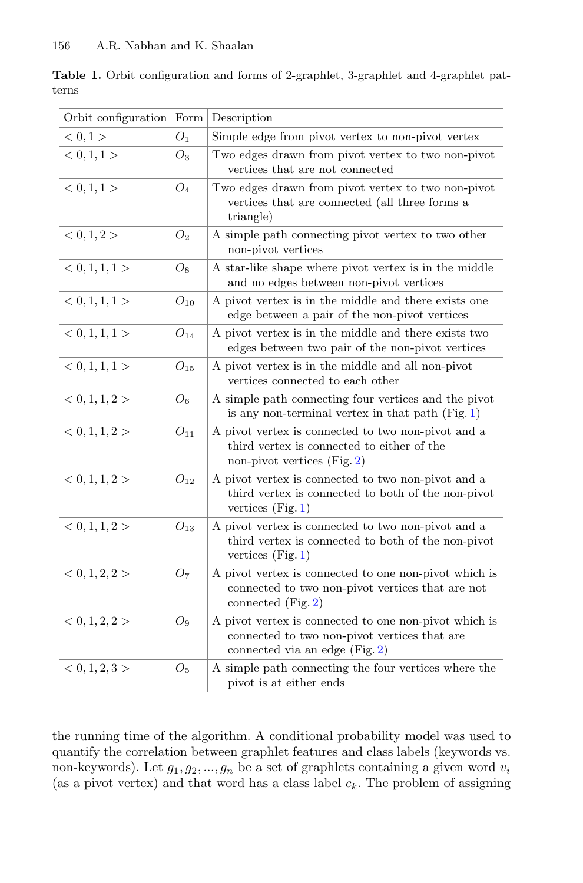| Orbit configuration | Form            | Description                                                                                                                             |  |
|---------------------|-----------------|-----------------------------------------------------------------------------------------------------------------------------------------|--|
| < 0, 1 >            | O <sub>1</sub>  | Simple edge from pivot vertex to non-pivot vertex                                                                                       |  |
| < 0, 1, 1 >         | $O_3$           | Two edges drawn from pivot vertex to two non-pivot<br>vertices that are not connected                                                   |  |
| < 0, 1, 1 >         | O <sub>4</sub>  | Two edges drawn from pivot vertex to two non-pivot<br>vertices that are connected (all three forms a<br>triangle)                       |  |
| < 0, 1, 2 >         | O <sub>2</sub>  | A simple path connecting pivot vertex to two other<br>non-pivot vertices                                                                |  |
| < 0, 1, 1, 1 >      | $O_8$           | A star-like shape where pivot vertex is in the middle<br>and no edges between non-pivot vertices                                        |  |
| < 0, 1, 1, 1 >      | $O_{10}$        | A pivot vertex is in the middle and there exists one<br>edge between a pair of the non-pivot vertices                                   |  |
| < 0, 1, 1, 1 >      | O <sub>14</sub> | A pivot vertex is in the middle and there exists two<br>edges between two pair of the non-pivot vertices                                |  |
| < 0, 1, 1, 1 >      | $O_{15}$        | A pivot vertex is in the middle and all non-pivot<br>vertices connected to each other                                                   |  |
| < 0, 1, 1, 2 >      | O <sub>6</sub>  | A simple path connecting four vertices and the pivot<br>is any non-terminal vertex in that path $(Fig. 1)$                              |  |
| < 0, 1, 1, 2 >      | $O_{11}$        | A pivot vertex is connected to two non-pivot and a<br>third vertex is connected to either of the<br>non-pivot vertices $(Fig. 2)$       |  |
| < 0, 1, 1, 2 >      | $O_{12}$        | A pivot vertex is connected to two non-pivot and a<br>third vertex is connected to both of the non-pivot<br>vertices $(Fig. 1)$         |  |
| < 0, 1, 1, 2 >      | $O_{13}$        | A pivot vertex is connected to two non-pivot and a<br>third vertex is connected to both of the non-pivot<br>vertices $(Fig. 1)$         |  |
| < 0, 1, 2, 2 >      | O <sub>7</sub>  | A pivot vertex is connected to one non-pivot which is<br>connected to two non-pivot vertices that are not<br>connected $(Fig. 2)$       |  |
| < 0, 1, 2, 2 >      | $O_9$           | A pivot vertex is connected to one non-pivot which is<br>connected to two non-pivot vertices that are<br>connected via an edge (Fig. 2) |  |
| < 0, 1, 2, 3 >      | O <sub>5</sub>  | A simple path connecting the four vertices where the<br>pivot is at either ends                                                         |  |

**Table 1.** Orbit configuration and forms of 2-graphlet, 3-graphlet and 4-graphlet patterns

the running time of the algorithm. A conditional probability model was used to quantify the correlation between graphlet features and class labels (keywords vs. non-keywords). Let  $g_1, g_2, ..., g_n$  be a set of graphlets containing a given word  $v_i$ (as a pivot vertex) and that word has a class label c*k*. The problem of assigning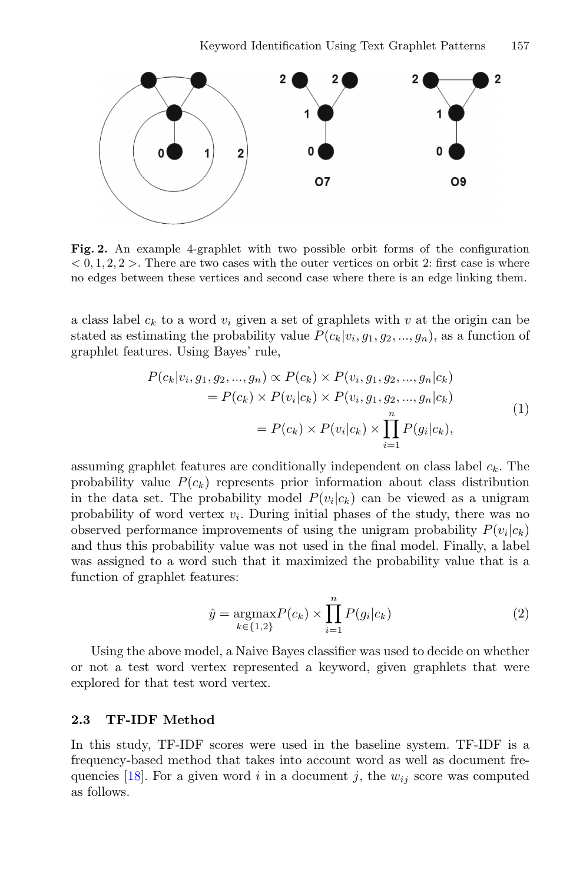

**Fig. 2.** An example 4-graphlet with two possible orbit forms of the configuration  $< 0, 1, 2, 2$ . There are two cases with the outer vertices on orbit 2: first case is where no edges between these vertices and second case where there is an edge linking them.

a class label  $c_k$  to a word  $v_i$  given a set of graphlets with v at the origin can be stated as estimating the probability value  $P(c_k|v_i, g_1, g_2, ..., g_n)$ , as a function of graphlet features. Using Bayes' rule,

$$
P(c_k|v_i, g_1, g_2, ..., g_n) \propto P(c_k) \times P(v_i, g_1, g_2, ..., g_n|c_k)
$$
  
= 
$$
P(c_k) \times P(v_i|c_k) \times P(v_i, g_1, g_2, ..., g_n|c_k)
$$
  
= 
$$
P(c_k) \times P(v_i|c_k) \times \prod_{i=1}^n P(g_i|c_k),
$$
 (1)

assuming graphlet features are conditionally independent on class label c*k*. The probability value  $P(c_k)$  represents prior information about class distribution in the data set. The probability model  $P(v_i|c_k)$  can be viewed as a unigram probability of word vertex v*i*. During initial phases of the study, there was no observed performance improvements of using the unigram probability  $P(v_i|c_k)$ and thus this probability value was not used in the final model. Finally, a label was assigned to a word such that it maximized the probability value that is a function of graphlet features:

$$
\hat{y} = \underset{k \in \{1, 2\}}{\text{argmax}} P(c_k) \times \prod_{i=1}^n P(g_i|c_k)
$$
\n(2)

Using the above model, a Naive Bayes classifier was used to decide on whether or not a test word vertex represented a keyword, given graphlets that were explored for that test word vertex.

#### **2.3 TF-IDF Method**

In this study, TF-IDF scores were used in the baseline system. TF-IDF is a frequency-based method that takes into account word as well as document frequencies [18]. For a given word i in a document j, the  $w_{ij}$  score was computed as follows.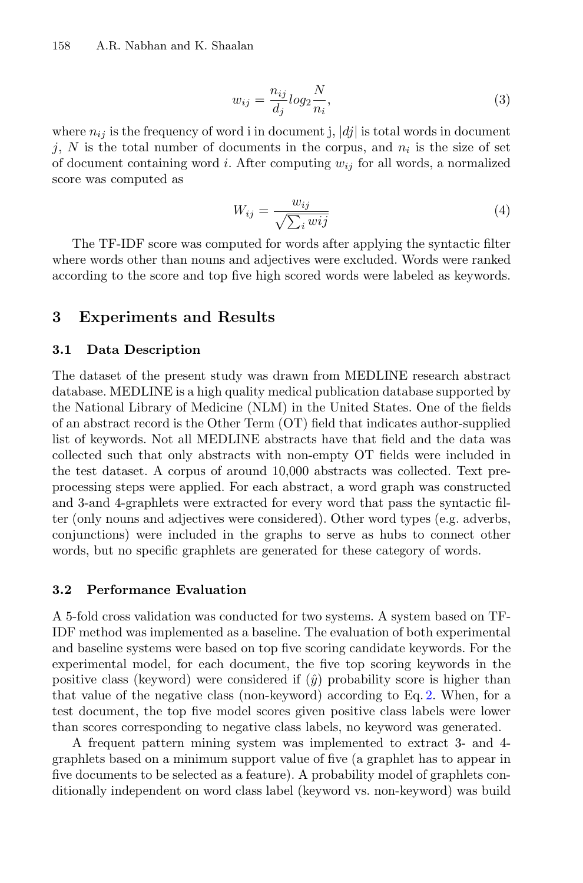$$
w_{ij} = \frac{n_{ij}}{d_j} \log_2 \frac{N}{n_i},\tag{3}
$$

where  $n_{ij}$  is the frequency of word i in document j,  $|dj|$  is total words in document j,  $N$  is the total number of documents in the corpus, and  $n_i$  is the size of set of document containing word *i*. After computing  $w_{ij}$  for all words, a normalized score was computed as

$$
W_{ij} = \frac{w_{ij}}{\sqrt{\sum_i w_{ij}}}
$$
\n<sup>(4)</sup>

The TF-IDF score was computed for words after applying the syntactic filter where words other than nouns and adjectives were excluded. Words were ranked according to the score and top five high scored words were labeled as keywords.

## **3 Experiments and Results**

#### **3.1 Data Description**

The dataset of the present study was drawn from MEDLINE research abstract database. MEDLINE is a high quality medical publication database supported by the National Library of Medicine (NLM) in the United States. One of the fields of an abstract record is the Other Term (OT) field that indicates author-supplied list of keywords. Not all MEDLINE abstracts have that field and the data was collected such that only abstracts with non-empty OT fields were included in the test dataset. A corpus of around 10,000 abstracts was collected. Text preprocessing steps were applied. For each abstract, a word graph was constructed and 3-and 4-graphlets were extracted for every word that pass the syntactic filter (only nouns and adjectives were considered). Other word types (e.g. adverbs, conjunctions) were included in the graphs to serve as hubs to connect other words, but no specific graphlets are generated for these category of words.

#### **3.2 Performance Evaluation**

A 5-fold cross validation was conducted for two systems. A system based on TF-IDF method was implemented as a baseline. The evaluation of both experimental and baseline systems were based on top five scoring candidate keywords. For the experimental model, for each document, the five top scoring keywords in the positive class (keyword) were considered if  $(\hat{y})$  probability score is higher than that value of the negative class (non-keyword) according to Eq. 2. When, for a test document, the top five model scores given positive class labels were lower than scores corresponding to negative class labels, no keyword was generated.

A frequent pattern mining system was implemented to extract 3- and 4 graphlets based on a minimum support value of five (a graphlet has to appear in five documents to be selected as a feature). A probability model of graphlets conditionally independent on word class label (keyword vs. non-keyword) was build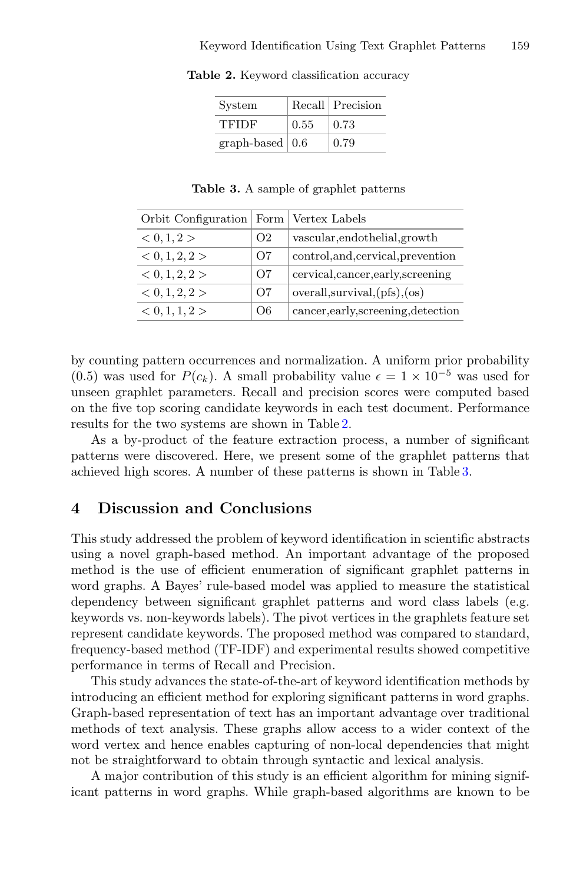| System                          |                | Recall   Precision |
|---------------------------------|----------------|--------------------|
| TFIDF                           | $0.55^{\circ}$ | $\pm 0.73$         |
| graph-based $\vert 0.6 \rangle$ |                | 0.79               |

**Table 2.** Keyword classification accuracy

**Table 3.** A sample of graphlet patterns

| Orbit Configuration   Form   Vertex Labels |          |                                     |
|--------------------------------------------|----------|-------------------------------------|
| < 0, 1, 2 >                                | $\Omega$ | vascular, endothelial, growth       |
| < 0, 1, 2, 2 >                             | O7       | control, and, cervical, prevention  |
| < 0, 1, 2, 2 >                             | O7       | cervical, cancer, early, screening  |
| < 0, 1, 2, 2 >                             | O7       | overall, survival, (pfs), (os)      |
| < 0, 1, 1, 2 >                             | O6       | cancer, early, screening, detection |

by counting pattern occurrences and normalization. A uniform prior probability (0.5) was used for  $P(c_k)$ . A small probability value  $\epsilon = 1 \times 10^{-5}$  was used for unseen graphlet parameters. Recall and precision scores were computed based on the five top scoring candidate keywords in each test document. Performance results for the two systems are shown in Table 2.

As a by-product of the feature extraction process, a number of significant patterns were discovered. Here, we present some of the graphlet patterns that achieved high scores. A number of these patterns is shown in Table 3.

### **4 Discussion and Conclusions**

This study addressed the problem of keyword identification in scientific abstracts using a novel graph-based method. An important advantage of the proposed method is the use of efficient enumeration of significant graphlet patterns in word graphs. A Bayes' rule-based model was applied to measure the statistical dependency between significant graphlet patterns and word class labels (e.g. keywords vs. non-keywords labels). The pivot vertices in the graphlets feature set represent candidate keywords. The proposed method was compared to standard, frequency-based method (TF-IDF) and experimental results showed competitive performance in terms of Recall and Precision.

This study advances the state-of-the-art of keyword identification methods by introducing an efficient method for exploring significant patterns in word graphs. Graph-based representation of text has an important advantage over traditional methods of text analysis. These graphs allow access to a wider context of the word vertex and hence enables capturing of non-local dependencies that might not be straightforward to obtain through syntactic and lexical analysis.

A major contribution of this study is an efficient algorithm for mining significant patterns in word graphs. While graph-based algorithms are known to be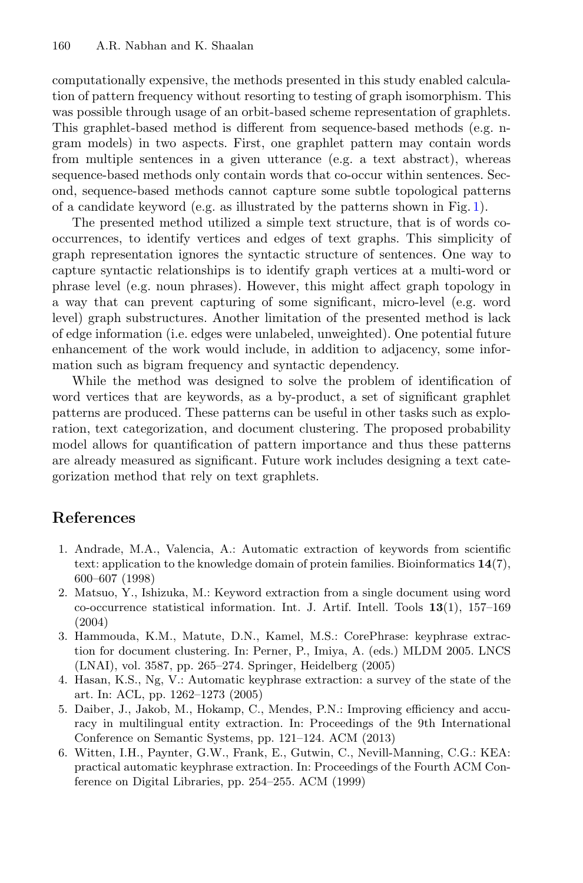computationally expensive, the methods presented in this study enabled calculation of pattern frequency without resorting to testing of graph isomorphism. This was possible through usage of an orbit-based scheme representation of graphlets. This graphlet-based method is different from sequence-based methods (e.g. ngram models) in two aspects. First, one graphlet pattern may contain words from multiple sentences in a given utterance (e.g. a text abstract), whereas sequence-based methods only contain words that co-occur within sentences. Second, sequence-based methods cannot capture some subtle topological patterns of a candidate keyword (e.g. as illustrated by the patterns shown in Fig. 1).

The presented method utilized a simple text structure, that is of words cooccurrences, to identify vertices and edges of text graphs. This simplicity of graph representation ignores the syntactic structure of sentences. One way to capture syntactic relationships is to identify graph vertices at a multi-word or phrase level (e.g. noun phrases). However, this might affect graph topology in a way that can prevent capturing of some significant, micro-level (e.g. word level) graph substructures. Another limitation of the presented method is lack of edge information (i.e. edges were unlabeled, unweighted). One potential future enhancement of the work would include, in addition to adjacency, some information such as bigram frequency and syntactic dependency.

While the method was designed to solve the problem of identification of word vertices that are keywords, as a by-product, a set of significant graphlet patterns are produced. These patterns can be useful in other tasks such as exploration, text categorization, and document clustering. The proposed probability model allows for quantification of pattern importance and thus these patterns are already measured as significant. Future work includes designing a text categorization method that rely on text graphlets.

# **References**

- 1. Andrade, M.A., Valencia, A.: Automatic extraction of keywords from scientific text: application to the knowledge domain of protein families. Bioinformatics **14**(7), 600–607 (1998)
- 2. Matsuo, Y., Ishizuka, M.: Keyword extraction from a single document using word co-occurrence statistical information. Int. J. Artif. Intell. Tools **13**(1), 157–169 (2004)
- 3. Hammouda, K.M., Matute, D.N., Kamel, M.S.: CorePhrase: keyphrase extraction for document clustering. In: Perner, P., Imiya, A. (eds.) MLDM 2005. LNCS (LNAI), vol. 3587, pp. 265–274. Springer, Heidelberg (2005)
- 4. Hasan, K.S., Ng, V.: Automatic keyphrase extraction: a survey of the state of the art. In: ACL, pp. 1262–1273 (2005)
- 5. Daiber, J., Jakob, M., Hokamp, C., Mendes, P.N.: Improving efficiency and accuracy in multilingual entity extraction. In: Proceedings of the 9th International Conference on Semantic Systems, pp. 121–124. ACM (2013)
- 6. Witten, I.H., Paynter, G.W., Frank, E., Gutwin, C., Nevill-Manning, C.G.: KEA: practical automatic keyphrase extraction. In: Proceedings of the Fourth ACM Conference on Digital Libraries, pp. 254–255. ACM (1999)